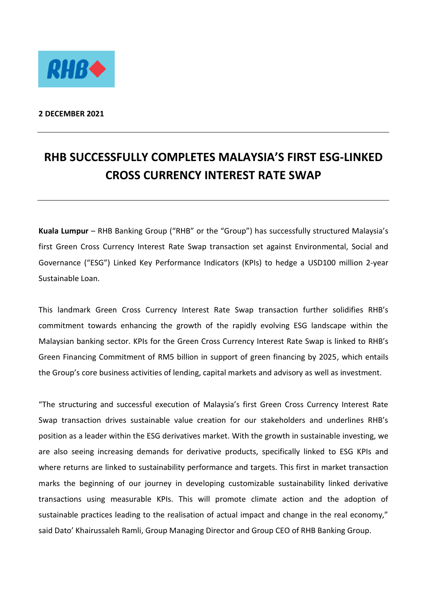

**2 DECEMBER 2021**

## **RHB SUCCESSFULLY COMPLETES MALAYSIA'S FIRST ESG-LINKED CROSS CURRENCY INTEREST RATE SWAP**

**Kuala Lumpur** – RHB Banking Group ("RHB" or the "Group") has successfully structured Malaysia's first Green Cross Currency Interest Rate Swap transaction set against Environmental, Social and Governance ("ESG") Linked Key Performance Indicators (KPIs) to hedge a USD100 million 2-year Sustainable Loan.

This landmark Green Cross Currency Interest Rate Swap transaction further solidifies RHB's commitment towards enhancing the growth of the rapidly evolving ESG landscape within the Malaysian banking sector. KPIs for the Green Cross Currency Interest Rate Swap is linked to RHB's Green Financing Commitment of RM5 billion in support of green financing by 2025, which entails the Group's core business activities of lending, capital markets and advisory as well as investment.

"The structuring and successful execution of Malaysia's first Green Cross Currency Interest Rate Swap transaction drives sustainable value creation for our stakeholders and underlines RHB's position as a leader within the ESG derivatives market. With the growth in sustainable investing, we are also seeing increasing demands for derivative products, specifically linked to ESG KPIs and where returns are linked to sustainability performance and targets. This first in market transaction marks the beginning of our journey in developing customizable sustainability linked derivative transactions using measurable KPIs. This will promote climate action and the adoption of sustainable practices leading to the realisation of actual impact and change in the real economy," said Dato' Khairussaleh Ramli, Group Managing Director and Group CEO of RHB Banking Group.